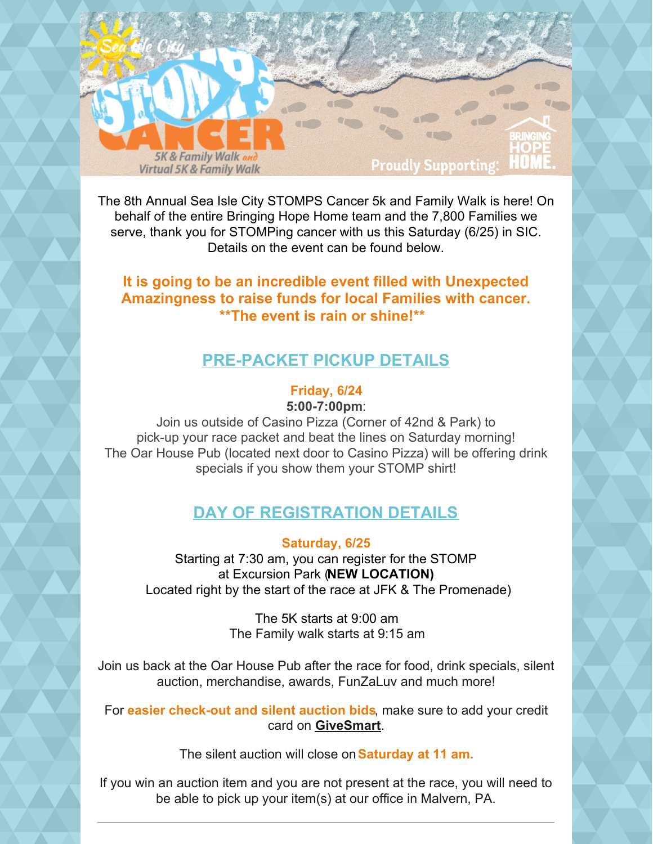

The 8th Annual Sea Isle City STOMPS Cancer 5k and Family Walk is here! On behalf of the entire Bringing Hope Home team and the 7,800 Families we serve, thank you for STOMPing cancer with us this Saturday (6/25) in SIC. Details on the event can be found below.

## **It is going to be an incredible event filled with Unexpected Amazingness to raise funds for local Families with cancer. \*\*The event is rain or shine!\*\***

## **PRE-PACKET PICKUP DETAILS**

## **Friday, 6/24**

**5:00-7:00pm**:

Join us outside of Casino Pizza (Corner of 42nd & Park) to pick-up your race packet and beat the lines on Saturday morning! The Oar House Pub (located next door to Casino Pizza) will be offering drink specials if you show them your STOMP shirt!

## **DAY OF REGISTRATION DETAILS**

**Saturday, 6/25**

Starting at 7:30 am, you can register for the STOMP at Excursion Park (**NEW LOCATION)** Located right by the start of the race at JFK & The Promenade)

> The 5K starts at 9:00 am The Family walk starts at 9:15 am

Join us back at the Oar House Pub after the race for food, drink specials, silent auction, merchandise, awards, FunZaLuv and much more!

For **easier check-out and silent auction bids**, make sure to add your credit card on **[GiveSmart](https://e.givesmart.com/events/rx6/)**.

The silent auction will close on**Saturday at 11 am.**

If you win an auction item and you are not present at the race, you will need to be able to pick up your item(s) at our office in Malvern, PA.